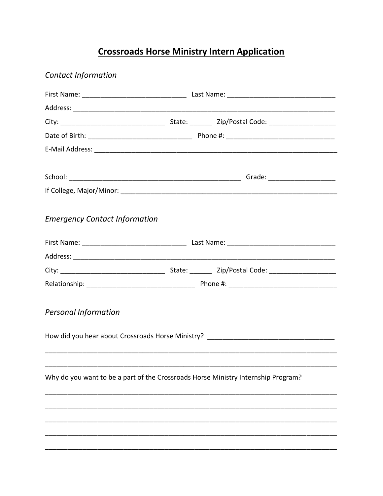# **Crossroads Horse Ministry Intern Application**

| <b>Contact Information</b>           |                                                                                   |  |  |  |  |  |
|--------------------------------------|-----------------------------------------------------------------------------------|--|--|--|--|--|
|                                      |                                                                                   |  |  |  |  |  |
|                                      |                                                                                   |  |  |  |  |  |
|                                      |                                                                                   |  |  |  |  |  |
|                                      |                                                                                   |  |  |  |  |  |
|                                      |                                                                                   |  |  |  |  |  |
|                                      |                                                                                   |  |  |  |  |  |
|                                      |                                                                                   |  |  |  |  |  |
| <b>Emergency Contact Information</b> |                                                                                   |  |  |  |  |  |
|                                      |                                                                                   |  |  |  |  |  |
|                                      |                                                                                   |  |  |  |  |  |
|                                      |                                                                                   |  |  |  |  |  |
|                                      |                                                                                   |  |  |  |  |  |
| <b>Personal Information</b>          |                                                                                   |  |  |  |  |  |
|                                      | How did you hear about Crossroads Horse Ministry? _______________________________ |  |  |  |  |  |
|                                      |                                                                                   |  |  |  |  |  |
|                                      | Why do you want to be a part of the Crossroads Horse Ministry Internship Program? |  |  |  |  |  |
|                                      |                                                                                   |  |  |  |  |  |
|                                      |                                                                                   |  |  |  |  |  |
|                                      |                                                                                   |  |  |  |  |  |
|                                      |                                                                                   |  |  |  |  |  |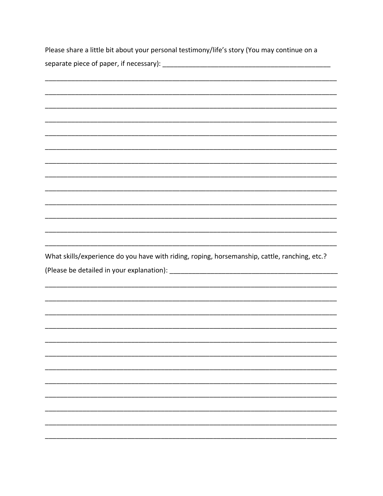| Please share a little bit about your personal testimony/life's story (You may continue on a   |
|-----------------------------------------------------------------------------------------------|
|                                                                                               |
|                                                                                               |
|                                                                                               |
|                                                                                               |
|                                                                                               |
|                                                                                               |
|                                                                                               |
|                                                                                               |
|                                                                                               |
|                                                                                               |
|                                                                                               |
|                                                                                               |
|                                                                                               |
|                                                                                               |
|                                                                                               |
|                                                                                               |
|                                                                                               |
| What skills/experience do you have with riding, roping, horsemanship, cattle, ranching, etc.? |
|                                                                                               |
|                                                                                               |
|                                                                                               |
|                                                                                               |
|                                                                                               |
|                                                                                               |
|                                                                                               |
|                                                                                               |
|                                                                                               |
|                                                                                               |
|                                                                                               |
|                                                                                               |
|                                                                                               |
|                                                                                               |
|                                                                                               |
|                                                                                               |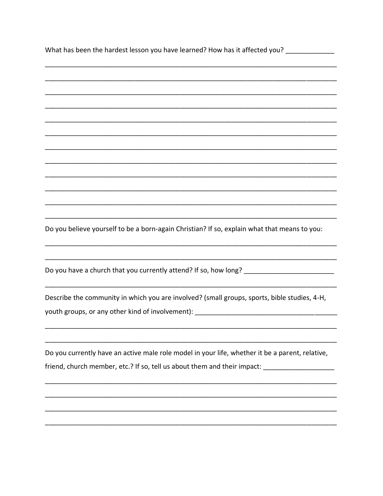What has been the hardest lesson you have learned? How has it affected you? \_\_\_\_\_\_\_\_\_\_\_ Do you believe yourself to be a born-again Christian? If so, explain what that means to you: Do you have a church that you currently attend? If so, how long? \_\_\_\_\_\_\_\_\_\_\_\_\_\_\_\_\_\_\_\_\_\_ Describe the community in which you are involved? (small groups, sports, bible studies, 4-H, Do you currently have an active male role model in your life, whether it be a parent, relative, friend, church member, etc.? If so, tell us about them and their impact: \_\_\_\_\_\_\_\_\_\_\_\_\_\_\_\_\_\_\_\_\_\_\_\_\_\_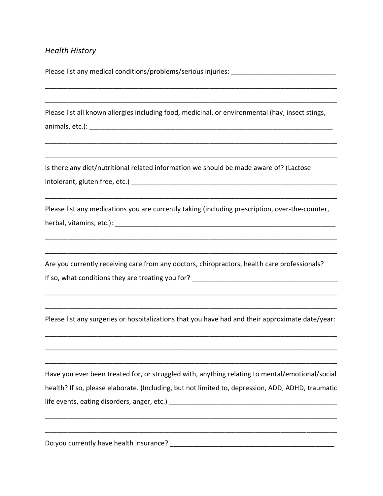# *Health History*

| Please list all known allergies including food, medicinal, or environmental (hay, insect stings,                                                                                                     |  |  |  |  |  |
|------------------------------------------------------------------------------------------------------------------------------------------------------------------------------------------------------|--|--|--|--|--|
| Is there any diet/nutritional related information we should be made aware of? (Lactose                                                                                                               |  |  |  |  |  |
| Please list any medications you are currently taking (including prescription, over-the-counter,                                                                                                      |  |  |  |  |  |
| Are you currently receiving care from any doctors, chiropractors, health care professionals?                                                                                                         |  |  |  |  |  |
| Please list any surgeries or hospitalizations that you have had and their approximate date/year:                                                                                                     |  |  |  |  |  |
| Have you ever been treated for, or struggled with, anything relating to mental/emotional/social<br>health? If so, please elaborate. (Including, but not limited to, depression, ADD, ADHD, traumatic |  |  |  |  |  |
| Do you currently have health insurance?                                                                                                                                                              |  |  |  |  |  |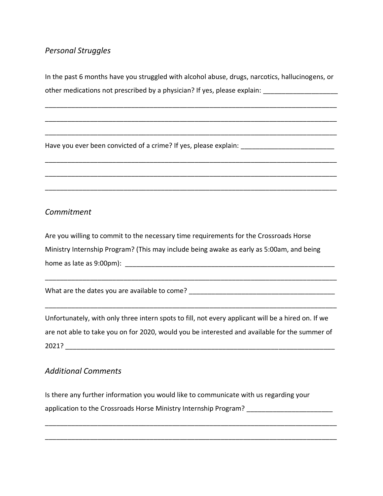## *Personal Struggles*

In the past 6 months have you struggled with alcohol abuse, drugs, narcotics, hallucinogens, or other medications not prescribed by a physician? If yes, please explain:

\_\_\_\_\_\_\_\_\_\_\_\_\_\_\_\_\_\_\_\_\_\_\_\_\_\_\_\_\_\_\_\_\_\_\_\_\_\_\_\_\_\_\_\_\_\_\_\_\_\_\_\_\_\_\_\_\_\_\_\_\_\_\_\_\_\_\_\_\_\_\_\_\_\_\_\_\_\_

\_\_\_\_\_\_\_\_\_\_\_\_\_\_\_\_\_\_\_\_\_\_\_\_\_\_\_\_\_\_\_\_\_\_\_\_\_\_\_\_\_\_\_\_\_\_\_\_\_\_\_\_\_\_\_\_\_\_\_\_\_\_\_\_\_\_\_\_\_\_\_\_\_\_\_\_\_\_

\_\_\_\_\_\_\_\_\_\_\_\_\_\_\_\_\_\_\_\_\_\_\_\_\_\_\_\_\_\_\_\_\_\_\_\_\_\_\_\_\_\_\_\_\_\_\_\_\_\_\_\_\_\_\_\_\_\_\_\_\_\_\_\_\_\_\_\_\_\_\_\_\_\_\_\_\_\_

\_\_\_\_\_\_\_\_\_\_\_\_\_\_\_\_\_\_\_\_\_\_\_\_\_\_\_\_\_\_\_\_\_\_\_\_\_\_\_\_\_\_\_\_\_\_\_\_\_\_\_\_\_\_\_\_\_\_\_\_\_\_\_\_\_\_\_\_\_\_\_\_\_\_\_\_\_\_

\_\_\_\_\_\_\_\_\_\_\_\_\_\_\_\_\_\_\_\_\_\_\_\_\_\_\_\_\_\_\_\_\_\_\_\_\_\_\_\_\_\_\_\_\_\_\_\_\_\_\_\_\_\_\_\_\_\_\_\_\_\_\_\_\_\_\_\_\_\_\_\_\_\_\_\_\_\_

\_\_\_\_\_\_\_\_\_\_\_\_\_\_\_\_\_\_\_\_\_\_\_\_\_\_\_\_\_\_\_\_\_\_\_\_\_\_\_\_\_\_\_\_\_\_\_\_\_\_\_\_\_\_\_\_\_\_\_\_\_\_\_\_\_\_\_\_\_\_\_\_\_\_\_\_\_\_

Have you ever been convicted of a crime? If yes, please explain: \_\_\_\_\_\_\_\_\_\_\_\_\_\_\_\_\_\_\_\_\_\_\_\_\_\_\_\_\_\_\_\_\_\_\_

#### *Commitment*

Are you willing to commit to the necessary time requirements for the Crossroads Horse Ministry Internship Program? (This may include being awake as early as 5:00am, and being home as late as 9:00pm): \_\_\_\_\_\_\_\_\_\_\_\_\_\_\_\_\_\_\_\_\_\_\_\_\_\_\_\_\_\_\_\_\_\_\_\_\_\_\_\_\_\_\_\_\_\_\_\_\_\_\_\_\_\_\_\_

What are the dates you are available to come? \_\_\_\_\_\_\_\_\_\_\_\_\_\_\_\_\_\_\_\_\_\_\_\_\_\_\_\_\_\_\_\_\_\_

Unfortunately, with only three intern spots to fill, not every applicant will be a hired on. If we are not able to take you on for 2020, would you be interested and available for the summer of 2021? \_\_\_\_\_\_\_\_\_\_\_\_\_\_\_\_\_\_\_\_\_\_\_\_\_\_\_\_\_\_\_\_\_\_\_\_\_\_\_\_\_\_\_\_\_\_\_\_\_\_\_\_\_\_\_\_\_\_\_\_\_\_\_\_\_\_\_\_\_\_\_\_

\_\_\_\_\_\_\_\_\_\_\_\_\_\_\_\_\_\_\_\_\_\_\_\_\_\_\_\_\_\_\_\_\_\_\_\_\_\_\_\_\_\_\_\_\_\_\_\_\_\_\_\_\_\_\_\_\_\_\_\_\_\_\_\_\_\_\_\_\_\_\_\_\_\_\_\_\_\_

\_\_\_\_\_\_\_\_\_\_\_\_\_\_\_\_\_\_\_\_\_\_\_\_\_\_\_\_\_\_\_\_\_\_\_\_\_\_\_\_\_\_\_\_\_\_\_\_\_\_\_\_\_\_\_\_\_\_\_\_\_\_\_\_\_\_\_\_\_\_\_\_\_\_\_\_\_\_

#### *Additional Comments*

Is there any further information you would like to communicate with us regarding your application to the Crossroads Horse Ministry Internship Program?

\_\_\_\_\_\_\_\_\_\_\_\_\_\_\_\_\_\_\_\_\_\_\_\_\_\_\_\_\_\_\_\_\_\_\_\_\_\_\_\_\_\_\_\_\_\_\_\_\_\_\_\_\_\_\_\_\_\_\_\_\_\_\_\_\_\_\_\_\_\_\_\_\_\_\_\_\_\_

\_\_\_\_\_\_\_\_\_\_\_\_\_\_\_\_\_\_\_\_\_\_\_\_\_\_\_\_\_\_\_\_\_\_\_\_\_\_\_\_\_\_\_\_\_\_\_\_\_\_\_\_\_\_\_\_\_\_\_\_\_\_\_\_\_\_\_\_\_\_\_\_\_\_\_\_\_\_